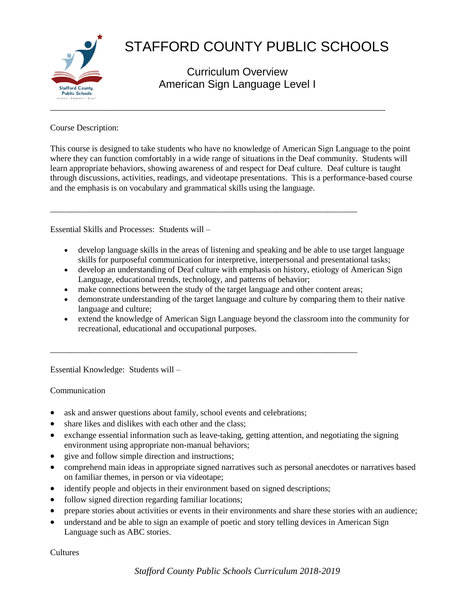

# STAFFORD COUNTY PUBLIC SCHOOLS

Curriculum Overview American Sign Language Level I

Course Description:

This course is designed to take students who have no knowledge of American Sign Language to the point where they can function comfortably in a wide range of situations in the Deaf community. Students will learn appropriate behaviors, showing awareness of and respect for Deaf culture. Deaf culture is taught through discussions, activities, readings, and videotape presentations. This is a performance-based course and the emphasis is on vocabulary and grammatical skills using the language.

Essential Skills and Processes: Students will –

- develop language skills in the areas of listening and speaking and be able to use target language skills for purposeful communication for interpretive, interpersonal and presentational tasks;
- develop an understanding of Deaf culture with emphasis on history, etiology of American Sign Language, educational trends, technology, and patterns of behavior;
- make connections between the study of the target language and other content areas;

\_\_\_\_\_\_\_\_\_\_\_\_\_\_\_\_\_\_\_\_\_\_\_\_\_\_\_\_\_\_\_\_\_\_\_\_\_\_\_\_\_\_\_\_\_\_\_\_\_\_\_\_\_\_\_\_\_\_\_\_\_\_\_\_\_\_\_\_\_\_\_\_

\_\_\_\_\_\_\_\_\_\_\_\_\_\_\_\_\_\_\_\_\_\_\_\_\_\_\_\_\_\_\_\_\_\_\_\_\_\_\_\_\_\_\_\_\_\_\_\_\_\_\_\_\_\_\_\_\_\_\_\_\_\_\_\_\_\_\_\_\_\_\_\_

- demonstrate understanding of the target language and culture by comparing them to their native language and culture;
- extend the knowledge of American Sign Language beyond the classroom into the community for recreational, educational and occupational purposes.

Essential Knowledge: Students will –

Communication

- ask and answer questions about family, school events and celebrations;
- share likes and dislikes with each other and the class;
- exchange essential information such as leave-taking, getting attention, and negotiating the signing environment using appropriate non-manual behaviors;
- give and follow simple direction and instructions;
- comprehend main ideas in appropriate signed narratives such as personal anecdotes or narratives based on familiar themes, in person or via videotape;
- identify people and objects in their environment based on signed descriptions;
- follow signed direction regarding familiar locations;
- prepare stories about activities or events in their environments and share these stories with an audience;
- understand and be able to sign an example of poetic and story telling devices in American Sign Language such as ABC stories.

Cultures